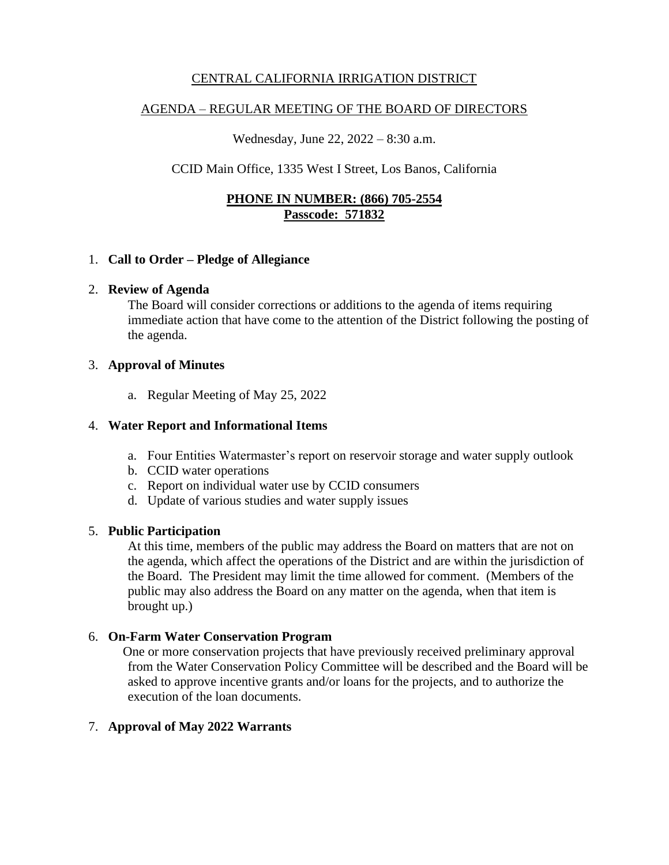## CENTRAL CALIFORNIA IRRIGATION DISTRICT

### AGENDA – REGULAR MEETING OF THE BOARD OF DIRECTORS

Wednesday, June 22, 2022 – 8:30 a.m.

## CCID Main Office, 1335 West I Street, Los Banos, California

## **PHONE IN NUMBER: (866) 705-2554 Passcode: 571832**

### 1. **Call to Order – Pledge of Allegiance**

#### 2. **Review of Agenda**

The Board will consider corrections or additions to the agenda of items requiring immediate action that have come to the attention of the District following the posting of the agenda.

### 3. **Approval of Minutes**

a. Regular Meeting of May 25, 2022

### 4. **Water Report and Informational Items**

- a. Four Entities Watermaster's report on reservoir storage and water supply outlook
- b. CCID water operations
- c. Report on individual water use by CCID consumers
- d. Update of various studies and water supply issues

### 5. **Public Participation**

At this time, members of the public may address the Board on matters that are not on the agenda, which affect the operations of the District and are within the jurisdiction of the Board. The President may limit the time allowed for comment. (Members of the public may also address the Board on any matter on the agenda, when that item is brought up.)

### 6. **On-Farm Water Conservation Program**

One or more conservation projects that have previously received preliminary approval from the Water Conservation Policy Committee will be described and the Board will be asked to approve incentive grants and/or loans for the projects, and to authorize the execution of the loan documents.

### 7. **Approval of May 2022 Warrants**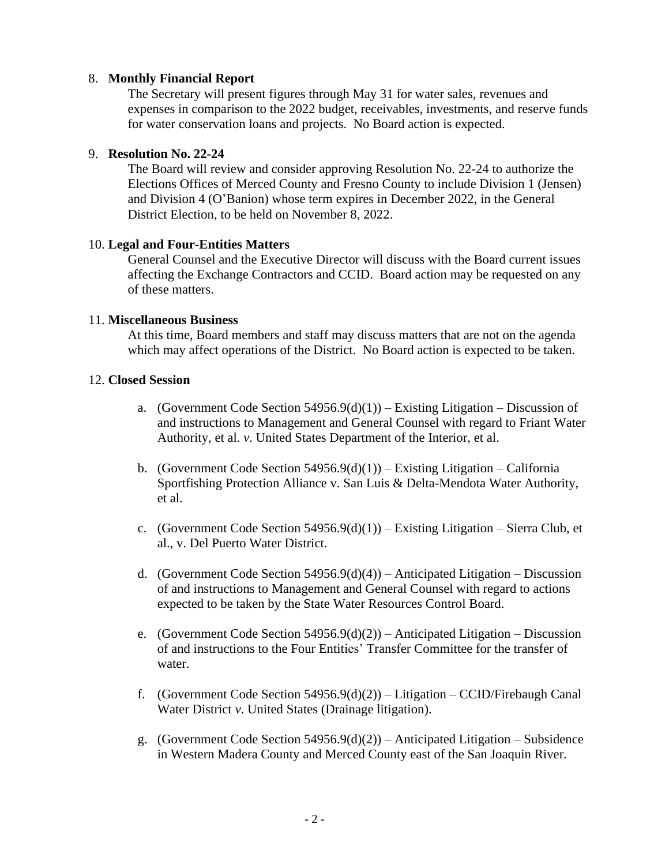### 8. **Monthly Financial Report**

The Secretary will present figures through May 31 for water sales, revenues and expenses in comparison to the 2022 budget, receivables, investments, and reserve funds for water conservation loans and projects. No Board action is expected.

### 9. **Resolution No. 22-24**

The Board will review and consider approving Resolution No. 22-24 to authorize the Elections Offices of Merced County and Fresno County to include Division 1 (Jensen) and Division 4 (O'Banion) whose term expires in December 2022, in the General District Election, to be held on November 8, 2022.

### 10. **Legal and Four-Entities Matters**

General Counsel and the Executive Director will discuss with the Board current issues affecting the Exchange Contractors and CCID. Board action may be requested on any of these matters.

### 11. **Miscellaneous Business**

At this time, Board members and staff may discuss matters that are not on the agenda which may affect operations of the District. No Board action is expected to be taken.

### 12. **Closed Session**

- a. (Government Code Section  $54956.9(d)(1)$ ) Existing Litigation Discussion of and instructions to Management and General Counsel with regard to Friant Water Authority, et al. *v*. United States Department of the Interior, et al.
- b. (Government Code Section  $54956.9(d)(1)$ ) Existing Litigation California Sportfishing Protection Alliance v. San Luis & Delta-Mendota Water Authority, et al.
- c. (Government Code Section  $54956.9(d)(1)$ ) Existing Litigation Sierra Club, et al., v. Del Puerto Water District.
- d. (Government Code Section  $54956.9(d)(4)$ ) Anticipated Litigation Discussion of and instructions to Management and General Counsel with regard to actions expected to be taken by the State Water Resources Control Board.
- e. (Government Code Section 54956.9(d)(2)) Anticipated Litigation Discussion of and instructions to the Four Entities' Transfer Committee for the transfer of water.
- f. (Government Code Section 54956.9(d)(2)) Litigation CCID/Firebaugh Canal Water District *v*. United States (Drainage litigation).
- g. (Government Code Section 54956.9(d)(2)) Anticipated Litigation Subsidence in Western Madera County and Merced County east of the San Joaquin River.